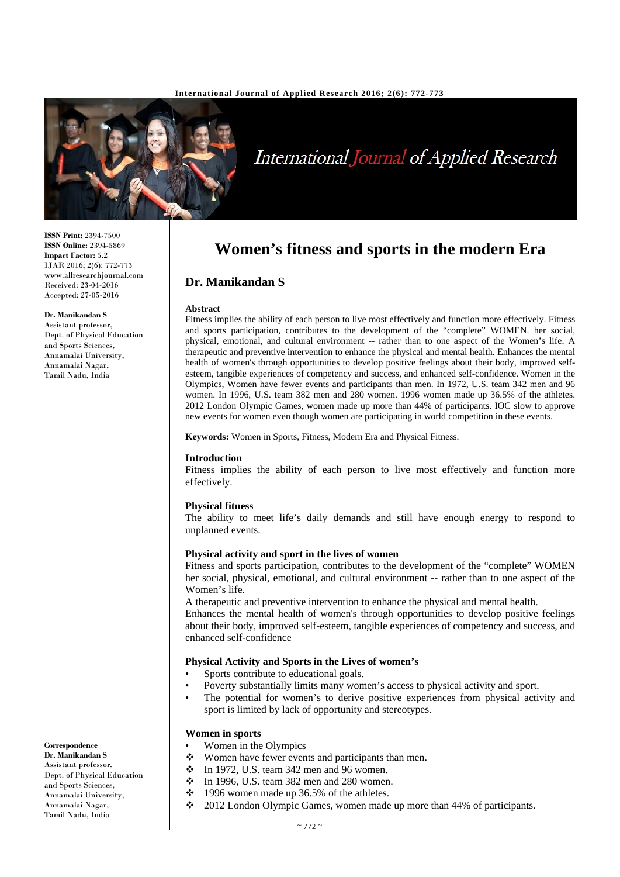

# International Journal of Applied Research

#### **ISSN Print:** 2394-7500 **ISSN Online:** 2394-5869 **Impact Factor:** 5.2 IJAR 2016; 2(6): 772-773 www.allresearchjournal.com Received: 23-04-2016 Accepted: 27-05-2016

#### **Dr. Manikandan S**

Assistant professor, Dept. of Physical Education and Sports Sciences, Annamalai University, Annamalai Nagar, Tamil Nadu, India

# **Women's fitness and sports in the modern Era**

# **Dr. Manikandan S**

#### **Abstract**

Fitness implies the ability of each person to live most effectively and function more effectively. Fitness and sports participation, contributes to the development of the "complete" WOMEN. her social, physical, emotional, and cultural environment -- rather than to one aspect of the Women's life. A therapeutic and preventive intervention to enhance the physical and mental health. Enhances the mental health of women's through opportunities to develop positive feelings about their body, improved selfesteem, tangible experiences of competency and success, and enhanced self-confidence. Women in the Olympics, Women have fewer events and participants than men. In 1972, U.S. team 342 men and 96 women. In 1996, U.S. team 382 men and 280 women. 1996 women made up 36.5% of the athletes. 2012 London Olympic Games, women made up more than 44% of participants. IOC slow to approve new events for women even though women are participating in world competition in these events.

**Keywords:** Women in Sports, Fitness, Modern Era and Physical Fitness.

#### **Introduction**

Fitness implies the ability of each person to live most effectively and function more effectively.

#### **Physical fitness**

The ability to meet life's daily demands and still have enough energy to respond to unplanned events.

#### **Physical activity and sport in the lives of women**

Fitness and sports participation, contributes to the development of the "complete" WOMEN her social, physical, emotional, and cultural environment -- rather than to one aspect of the Women's life.

A therapeutic and preventive intervention to enhance the physical and mental health.

Enhances the mental health of women's through opportunities to develop positive feelings about their body, improved self-esteem, tangible experiences of competency and success, and enhanced self-confidence

#### **Physical Activity and Sports in the Lives of women's**

- Sports contribute to educational goals.
- Poverty substantially limits many women's access to physical activity and sport.
- The potential for women's to derive positive experiences from physical activity and sport is limited by lack of opportunity and stereotypes.

# **Women in sports**

- Women in the Olympics<br>• Women have fewer even
- Women have fewer events and participants than men.
- $\div$  In 1972, U.S. team 342 men and 96 women.
- $\div$  In 1996, U.S. team 382 men and 280 women.
- $\div$  1996 women made up 36.5% of the athletes.
- 2012 London Olympic Games, women made up more than 44% of participants.

**Correspondence**